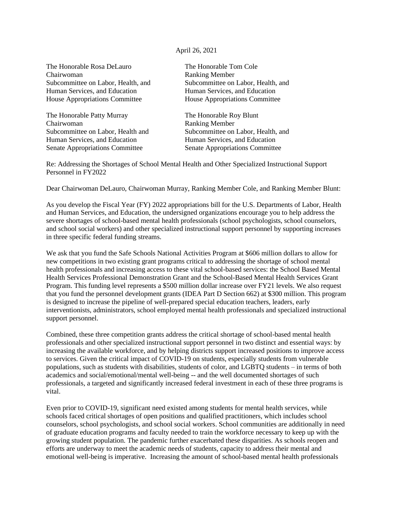## April 26, 2021

The Honorable Rosa DeLauro The Honorable Tom Cole Chairwoman Ranking Member Human Services, and Education Human Services, and Education House Appropriations Committee House Appropriations Committee

The Honorable Patty Murray The Honorable Roy Blunt Chairwoman Ranking Member Human Services, and Education **Human Services**, and Education Senate Appropriations Committee Senate Appropriations Committee

Subcommittee on Labor, Health, and Subcommittee on Labor, Health, and

Subcommittee on Labor, Health and Subcommittee on Labor, Health, and

Re: Addressing the Shortages of School Mental Health and Other Specialized Instructional Support Personnel in FY2022

Dear Chairwoman DeLauro, Chairwoman Murray, Ranking Member Cole, and Ranking Member Blunt:

As you develop the Fiscal Year (FY) 2022 appropriations bill for the U.S. Departments of Labor, Health and Human Services, and Education, the undersigned organizations encourage you to help address the severe shortages of school-based mental health professionals (school psychologists, school counselors, and school social workers) and other specialized instructional support personnel by supporting increases in three specific federal funding streams.

We ask that you fund the Safe Schools National Activities Program at \$606 million dollars to allow for new competitions in two existing grant programs critical to addressing the shortage of school mental health professionals and increasing access to these vital school-based services: the School Based Mental Health Services Professional Demonstration Grant and the School-Based Mental Health Services Grant Program. This funding level represents a \$500 million dollar increase over FY21 levels. We also request that you fund the personnel development grants (IDEA Part D Section 662) at \$300 million. This program is designed to increase the pipeline of well-prepared special education teachers, leaders, early interventionists, administrators, school employed mental health professionals and specialized instructional support personnel.

Combined, these three competition grants address the critical shortage of school-based mental health professionals and other specialized instructional support personnel in two distinct and essential ways: by increasing the available workforce, and by helping districts support increased positions to improve access to services. Given the critical impact of COVID-19 on students, especially students from vulnerable populations, such as students with disabilities, students of color, and LGBTQ students – in terms of both academics and social/emotional/mental well-being -- and the well documented shortages of such professionals, a targeted and significantly increased federal investment in each of these three programs is vital.

Even prior to COVID-19, significant need existed among students for mental health services, while schools faced critical shortages of open positions and qualified practitioners, which includes school counselors, school psychologists, and school social workers. School communities are additionally in need of graduate education programs and faculty needed to train the workforce necessary to keep up with the growing student population. The pandemic further exacerbated these disparities. As schools reopen and efforts are underway to meet the academic needs of students, capacity to address their mental and emotional well-being is imperative. Increasing the amount of school-based mental health professionals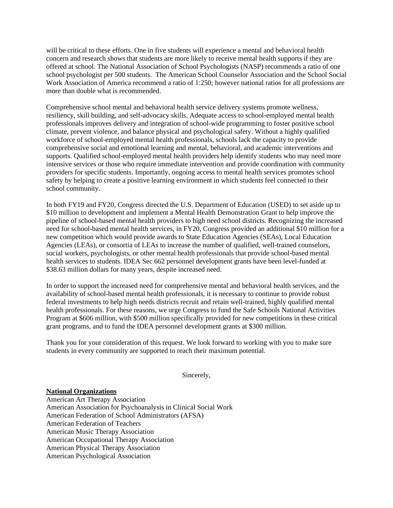will be critical to these efforts. One in five students will experience a mental and behavioral health concern and research shows that students are more likely to receive mental health supports if they are offered at school. The National Association of School Psychologists (NASP) recommends a ratio of one school psychologist per 500 students. The American School Counselor Association and the School Social Work Association of America recommend a ratio of 1:250; however national ratios for all professions are more than double what is recommended.

Comprehensive school mental and behavioral health service delivery systems promote wellness, resiliency, skill building, and self-advocacy skills. Adequate access to school-employed mental health professionals improves delivery and integration of school-wide programming to foster positive school climate, prevent violence, and balance physical and psychological safety. Without a highly qualified workforce of school-employed mental health professionals, schools lack the capacity to provide comprehensive social and emotional learning and mental, behavioral, and academic interventions and supports. Qualified school-employed mental health providers help identify students who may need more intensive services or those who require immediate intervention and provide coordination with community providers for specific students. Importantly, ongoing access to mental health services promotes school safety by helping to create a positive learning environment in which students feel connected to their school community.

In both FY19 and FY20, Congress directed the U.S. Department of Education (USED) to set aside up to \$10 million to development and implement a Mental Health Demonstration Grant to help improve the pipeline of school-based mental health providers to high need school districts. Recognizing the increased need for school-based mental health services, in FY20, Congress provided an additional \$10 million for a new competition which would provide awards to State Education Agencies (SEAs), Local Education Agencies (LEAs), or consortia of LEAs to increase the number of qualified, well-trained counselors, social workers, psychologists, or other mental health professionals that provide school-based mental health services to students. IDEA Sec 662 personnel development grants have been level-funded at \$38.63 million dollars for many years, despite increased need.

In order to support the increased need for comprehensive mental and behavioral health services, and the availability of school-based mental health professionals, it is necessary to continue to provide robust federal investments to help high needs districts recruit and retain well-trained, highly qualified mental health professionals. For these reasons, we urge Congress to fund the Safe Schools National Activities Program at \$606 million, with \$500 million specifically provided for new competitions in these critical grant programs, and to fund the IDEA personnel development grants at \$300 million.

Thank you for your consideration of this request. We look forward to working with you to make sure students in every community are supported to reach their maximum potential.

Sincerely,

## **National Organizations**

American Art Therapy Association American Association for Psychoanalysis in Clinical Social Work American Federation of School Administrators (AFSA) American Federation of Teachers American Music Therapy Association American Occupational Therapy Association American Physical Therapy Association American Psychological Association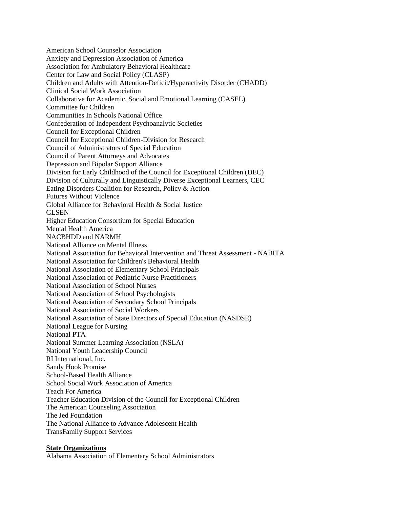American School Counselor Association Anxiety and Depression Association of America Association for Ambulatory Behavioral Healthcare Center for Law and Social Policy (CLASP) Children and Adults with Attention-Deficit/Hyperactivity Disorder (CHADD) Clinical Social Work Association Collaborative for Academic, Social and Emotional Learning (CASEL) Committee for Children Communities In Schools National Office Confederation of Independent Psychoanalytic Societies Council for Exceptional Children Council for Exceptional Children-Division for Research Council of Administrators of Special Education Council of Parent Attorneys and Advocates Depression and Bipolar Support Alliance Division for Early Childhood of the Council for Exceptional Children (DEC) Division of Culturally and Linguistically Diverse Exceptional Learners, CEC Eating Disorders Coalition for Research, Policy & Action Futures Without Violence Global Alliance for Behavioral Health & Social Justice GLSEN Higher Education Consortium for Special Education Mental Health America NACBHDD and NARMH National Alliance on Mental Illness National Association for Behavioral Intervention and Threat Assessment - NABITA National Association for Children's Behavioral Health National Association of Elementary School Principals National Association of Pediatric Nurse Practitioners National Association of School Nurses National Association of School Psychologists National Association of Secondary School Principals National Association of Social Workers National Association of State Directors of Special Education (NASDSE) National League for Nursing National PTA National Summer Learning Association (NSLA) National Youth Leadership Council RI International, Inc. Sandy Hook Promise School-Based Health Alliance School Social Work Association of America Teach For America Teacher Education Division of the Council for Exceptional Children The American Counseling Association The Jed Foundation The National Alliance to Advance Adolescent Health TransFamily Support Services

## **State Organizations**

Alabama Association of Elementary School Administrators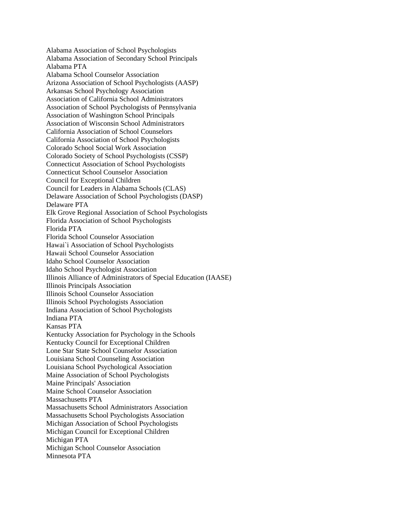Alabama Association of School Psychologists Alabama Association of Secondary School Principals Alabama PTA Alabama School Counselor Association Arizona Association of School Psychologists (AASP) Arkansas School Psychology Association Association of California School Administrators Association of School Psychologists of Pennsylvania Association of Washington School Principals Association of Wisconsin School Administrators California Association of School Counselors California Association of School Psychologists Colorado School Social Work Association Colorado Society of School Psychologists (CSSP) Connecticut Association of School Psychologists Connecticut School Counselor Association Council for Exceptional Children Council for Leaders in Alabama Schools (CLAS) Delaware Association of School Psychologists (DASP) Delaware PTA Elk Grove Regional Association of School Psychologists Florida Association of School Psychologists Florida PTA Florida School Counselor Association Hawai`i Association of School Psychologists Hawaii School Counselor Association Idaho School Counselor Association Idaho School Psychologist Association Illinois Alliance of Administrators of Special Education (IAASE) Illinois Principals Association Illinois School Counselor Association Illinois School Psychologists Association Indiana Association of School Psychologists Indiana PTA Kansas PTA Kentucky Association for Psychology in the Schools Kentucky Council for Exceptional Children Lone Star State School Counselor Association Louisiana School Counseling Association Louisiana School Psychological Association Maine Association of School Psychologists Maine Principals' Association Maine School Counselor Association Massachusetts PTA Massachusetts School Administrators Association Massachusetts School Psychologists Association Michigan Association of School Psychologists Michigan Council for Exceptional Children Michigan PTA Michigan School Counselor Association Minnesota PTA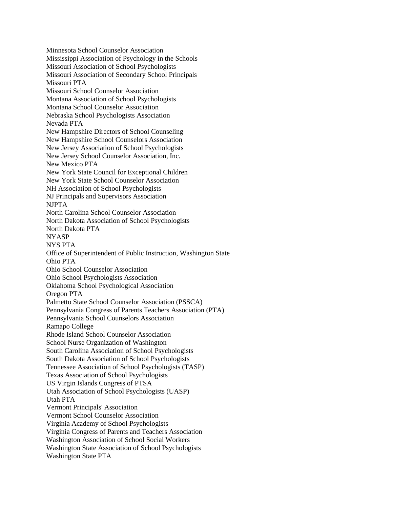Minnesota School Counselor Association Mississippi Association of Psychology in the Schools Missouri Association of School Psychologists Missouri Association of Secondary School Principals Missouri PTA Missouri School Counselor Association Montana Association of School Psychologists Montana School Counselor Association Nebraska School Psychologists Association Nevada PTA New Hampshire Directors of School Counseling New Hampshire School Counselors Association New Jersey Association of School Psychologists New Jersey School Counselor Association, Inc. New Mexico PTA New York State Council for Exceptional Children New York State School Counselor Association NH Association of School Psychologists NJ Principals and Supervisors Association NJPTA North Carolina School Counselor Association North Dakota Association of School Psychologists North Dakota PTA NYASP NYS PTA Office of Superintendent of Public Instruction, Washington State Ohio PTA Ohio School Counselor Association Ohio School Psychologists Association Oklahoma School Psychological Association Oregon PTA Palmetto State School Counselor Association (PSSCA) Pennsylvania Congress of Parents Teachers Association (PTA) Pennsylvania School Counselors Association Ramapo College Rhode Island School Counselor Association School Nurse Organization of Washington South Carolina Association of School Psychologists South Dakota Association of School Psychologists Tennessee Association of School Psychologists (TASP) Texas Association of School Psychologists US Virgin Islands Congress of PTSA Utah Association of School Psychologists (UASP) Utah PTA Vermont Principals' Association Vermont School Counselor Association Virginia Academy of School Psychologists Virginia Congress of Parents and Teachers Association Washington Association of School Social Workers Washington State Association of School Psychologists Washington State PTA